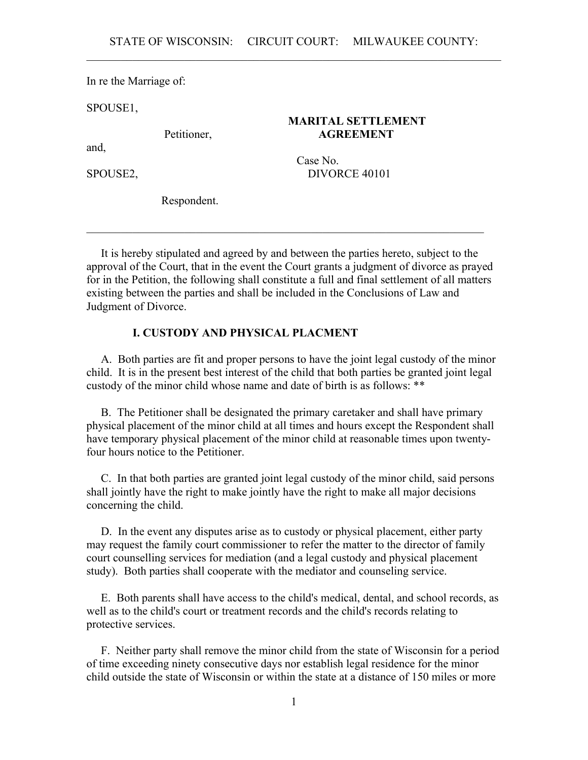In re the Marriage of:

SPOUSE1,

### **MARITAL SETTLEMENT** Petitioner, **AGREEMENT**

and,

 Case No. SPOUSE2, DIVORCE 40101

Respondent.

 It is hereby stipulated and agreed by and between the parties hereto, subject to the approval of the Court, that in the event the Court grants a judgment of divorce as prayed for in the Petition, the following shall constitute a full and final settlement of all matters existing between the parties and shall be included in the Conclusions of Law and Judgment of Divorce.

 $\mathcal{L}_\mathcal{L} = \mathcal{L}_\mathcal{L} = \mathcal{L}_\mathcal{L} = \mathcal{L}_\mathcal{L} = \mathcal{L}_\mathcal{L} = \mathcal{L}_\mathcal{L} = \mathcal{L}_\mathcal{L} = \mathcal{L}_\mathcal{L} = \mathcal{L}_\mathcal{L} = \mathcal{L}_\mathcal{L} = \mathcal{L}_\mathcal{L} = \mathcal{L}_\mathcal{L} = \mathcal{L}_\mathcal{L} = \mathcal{L}_\mathcal{L} = \mathcal{L}_\mathcal{L} = \mathcal{L}_\mathcal{L} = \mathcal{L}_\mathcal{L}$ 

# **I. CUSTODY AND PHYSICAL PLACMENT**

 A. Both parties are fit and proper persons to have the joint legal custody of the minor child. It is in the present best interest of the child that both parties be granted joint legal custody of the minor child whose name and date of birth is as follows: \*\*

 B. The Petitioner shall be designated the primary caretaker and shall have primary physical placement of the minor child at all times and hours except the Respondent shall have temporary physical placement of the minor child at reasonable times upon twentyfour hours notice to the Petitioner.

 C. In that both parties are granted joint legal custody of the minor child, said persons shall jointly have the right to make jointly have the right to make all major decisions concerning the child.

 D. In the event any disputes arise as to custody or physical placement, either party may request the family court commissioner to refer the matter to the director of family court counselling services for mediation (and a legal custody and physical placement study). Both parties shall cooperate with the mediator and counseling service.

 E. Both parents shall have access to the child's medical, dental, and school records, as well as to the child's court or treatment records and the child's records relating to protective services.

 F. Neither party shall remove the minor child from the state of Wisconsin for a period of time exceeding ninety consecutive days nor establish legal residence for the minor child outside the state of Wisconsin or within the state at a distance of 150 miles or more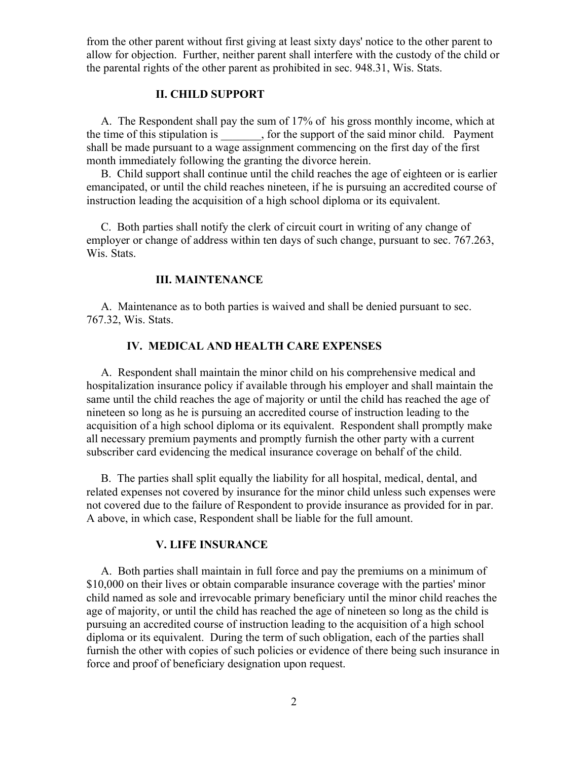from the other parent without first giving at least sixty days' notice to the other parent to allow for objection. Further, neither parent shall interfere with the custody of the child or the parental rights of the other parent as prohibited in sec. 948.31, Wis. Stats.

### **II. CHILD SUPPORT**

 A. The Respondent shall pay the sum of 17% of his gross monthly income, which at the time of this stipulation is \_\_\_\_\_\_\_, for the support of the said minor child. Payment shall be made pursuant to a wage assignment commencing on the first day of the first month immediately following the granting the divorce herein.

 B. Child support shall continue until the child reaches the age of eighteen or is earlier emancipated, or until the child reaches nineteen, if he is pursuing an accredited course of instruction leading the acquisition of a high school diploma or its equivalent.

 C. Both parties shall notify the clerk of circuit court in writing of any change of employer or change of address within ten days of such change, pursuant to sec. 767.263, Wis. Stats.

### **III. MAINTENANCE**

 A. Maintenance as to both parties is waived and shall be denied pursuant to sec. 767.32, Wis. Stats.

### **IV. MEDICAL AND HEALTH CARE EXPENSES**

 A. Respondent shall maintain the minor child on his comprehensive medical and hospitalization insurance policy if available through his employer and shall maintain the same until the child reaches the age of majority or until the child has reached the age of nineteen so long as he is pursuing an accredited course of instruction leading to the acquisition of a high school diploma or its equivalent. Respondent shall promptly make all necessary premium payments and promptly furnish the other party with a current subscriber card evidencing the medical insurance coverage on behalf of the child.

 B. The parties shall split equally the liability for all hospital, medical, dental, and related expenses not covered by insurance for the minor child unless such expenses were not covered due to the failure of Respondent to provide insurance as provided for in par. A above, in which case, Respondent shall be liable for the full amount.

#### **V. LIFE INSURANCE**

 A. Both parties shall maintain in full force and pay the premiums on a minimum of \$10,000 on their lives or obtain comparable insurance coverage with the parties' minor child named as sole and irrevocable primary beneficiary until the minor child reaches the age of majority, or until the child has reached the age of nineteen so long as the child is pursuing an accredited course of instruction leading to the acquisition of a high school diploma or its equivalent. During the term of such obligation, each of the parties shall furnish the other with copies of such policies or evidence of there being such insurance in force and proof of beneficiary designation upon request.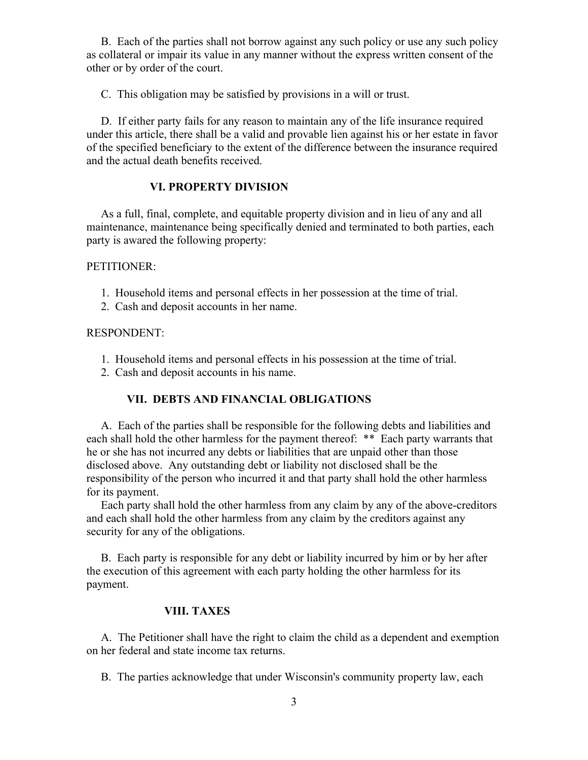B. Each of the parties shall not borrow against any such policy or use any such policy as collateral or impair its value in any manner without the express written consent of the other or by order of the court.

C. This obligation may be satisfied by provisions in a will or trust.

 D. If either party fails for any reason to maintain any of the life insurance required under this article, there shall be a valid and provable lien against his or her estate in favor of the specified beneficiary to the extent of the difference between the insurance required and the actual death benefits received.

### **VI. PROPERTY DIVISION**

 As a full, final, complete, and equitable property division and in lieu of any and all maintenance, maintenance being specifically denied and terminated to both parties, each party is awared the following property:

#### PETITIONER:

- 1. Household items and personal effects in her possession at the time of trial.
- 2. Cash and deposit accounts in her name.

#### RESPONDENT:

- 1. Household items and personal effects in his possession at the time of trial.
- 2. Cash and deposit accounts in his name.

# **VII. DEBTS AND FINANCIAL OBLIGATIONS**

 A. Each of the parties shall be responsible for the following debts and liabilities and each shall hold the other harmless for the payment thereof: \*\* Each party warrants that he or she has not incurred any debts or liabilities that are unpaid other than those disclosed above. Any outstanding debt or liability not disclosed shall be the responsibility of the person who incurred it and that party shall hold the other harmless for its payment.

 Each party shall hold the other harmless from any claim by any of the above-creditors and each shall hold the other harmless from any claim by the creditors against any security for any of the obligations.

 B. Each party is responsible for any debt or liability incurred by him or by her after the execution of this agreement with each party holding the other harmless for its payment.

#### **VIII. TAXES**

 A. The Petitioner shall have the right to claim the child as a dependent and exemption on her federal and state income tax returns.

B. The parties acknowledge that under Wisconsin's community property law, each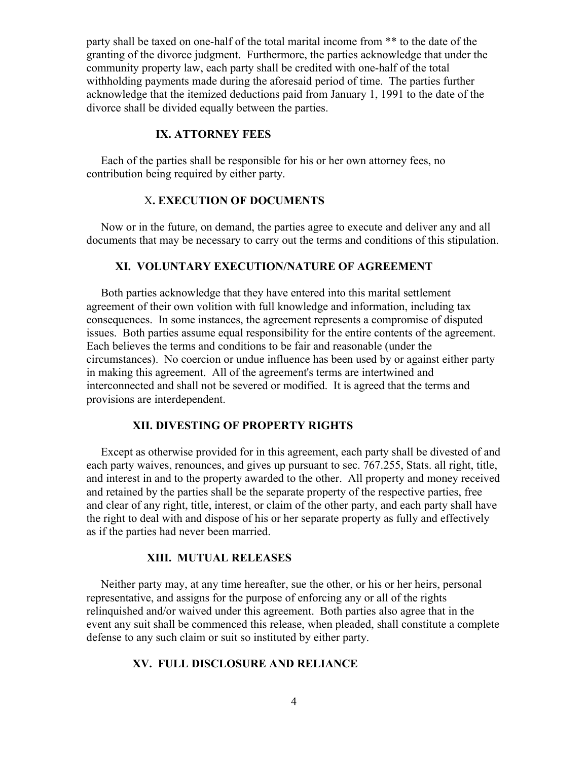party shall be taxed on one-half of the total marital income from \*\* to the date of the granting of the divorce judgment. Furthermore, the parties acknowledge that under the community property law, each party shall be credited with one-half of the total withholding payments made during the aforesaid period of time. The parties further acknowledge that the itemized deductions paid from January 1, 1991 to the date of the divorce shall be divided equally between the parties.

# **IX. ATTORNEY FEES**

 Each of the parties shall be responsible for his or her own attorney fees, no contribution being required by either party.

## X**. EXECUTION OF DOCUMENTS**

 Now or in the future, on demand, the parties agree to execute and deliver any and all documents that may be necessary to carry out the terms and conditions of this stipulation.

## **XI. VOLUNTARY EXECUTION/NATURE OF AGREEMENT**

 Both parties acknowledge that they have entered into this marital settlement agreement of their own volition with full knowledge and information, including tax consequences. In some instances, the agreement represents a compromise of disputed issues. Both parties assume equal responsibility for the entire contents of the agreement. Each believes the terms and conditions to be fair and reasonable (under the circumstances). No coercion or undue influence has been used by or against either party in making this agreement. All of the agreement's terms are intertwined and interconnected and shall not be severed or modified. It is agreed that the terms and provisions are interdependent.

#### **XII. DIVESTING OF PROPERTY RIGHTS**

 Except as otherwise provided for in this agreement, each party shall be divested of and each party waives, renounces, and gives up pursuant to sec. 767.255, Stats. all right, title, and interest in and to the property awarded to the other. All property and money received and retained by the parties shall be the separate property of the respective parties, free and clear of any right, title, interest, or claim of the other party, and each party shall have the right to deal with and dispose of his or her separate property as fully and effectively as if the parties had never been married.

#### **XIII. MUTUAL RELEASES**

 Neither party may, at any time hereafter, sue the other, or his or her heirs, personal representative, and assigns for the purpose of enforcing any or all of the rights relinquished and/or waived under this agreement. Both parties also agree that in the event any suit shall be commenced this release, when pleaded, shall constitute a complete defense to any such claim or suit so instituted by either party.

#### **XV. FULL DISCLOSURE AND RELIANCE**